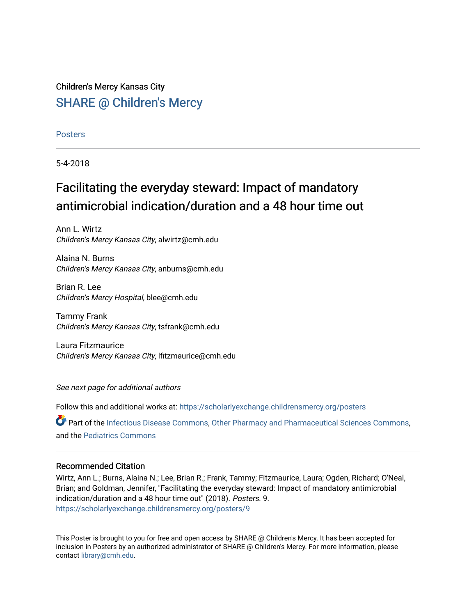# Children's Mercy Kansas City **SHARE @ Children's Mercy**

## **Posters**

5-4-2018

# Facilitating the everyday steward: Impact of mandatory antimicrobial indication/duration and a 48 hour time out

Ann L. Wirtz Children's Mercy Kansas City, alwirtz@cmh.edu

Alaina N. Burns Children's Mercy Kansas City, anburns@cmh.edu

Brian R. Lee Children's Mercy Hospital, blee@cmh.edu

Tammy Frank Children's Mercy Kansas City, tsfrank@cmh.edu

Laura Fitzmaurice Children's Mercy Kansas City, lfitzmaurice@cmh.edu

See next page for additional authors

Follow this and additional works at: [https://scholarlyexchange.childrensmercy.org/posters](https://scholarlyexchange.childrensmercy.org/posters?utm_source=scholarlyexchange.childrensmercy.org%2Fposters%2F9&utm_medium=PDF&utm_campaign=PDFCoverPages) 

Part of the [Infectious Disease Commons,](http://network.bepress.com/hgg/discipline/689?utm_source=scholarlyexchange.childrensmercy.org%2Fposters%2F9&utm_medium=PDF&utm_campaign=PDFCoverPages) [Other Pharmacy and Pharmaceutical Sciences Commons](http://network.bepress.com/hgg/discipline/737?utm_source=scholarlyexchange.childrensmercy.org%2Fposters%2F9&utm_medium=PDF&utm_campaign=PDFCoverPages), and the [Pediatrics Commons](http://network.bepress.com/hgg/discipline/700?utm_source=scholarlyexchange.childrensmercy.org%2Fposters%2F9&utm_medium=PDF&utm_campaign=PDFCoverPages) 

# Recommended Citation

Wirtz, Ann L.; Burns, Alaina N.; Lee, Brian R.; Frank, Tammy; Fitzmaurice, Laura; Ogden, Richard; O'Neal, Brian; and Goldman, Jennifer, "Facilitating the everyday steward: Impact of mandatory antimicrobial indication/duration and a 48 hour time out" (2018). Posters. 9. [https://scholarlyexchange.childrensmercy.org/posters/9](https://scholarlyexchange.childrensmercy.org/posters/9?utm_source=scholarlyexchange.childrensmercy.org%2Fposters%2F9&utm_medium=PDF&utm_campaign=PDFCoverPages) 

This Poster is brought to you for free and open access by SHARE @ Children's Mercy. It has been accepted for inclusion in Posters by an authorized administrator of SHARE @ Children's Mercy. For more information, please contact [library@cmh.edu.](mailto:library@cmh.edu)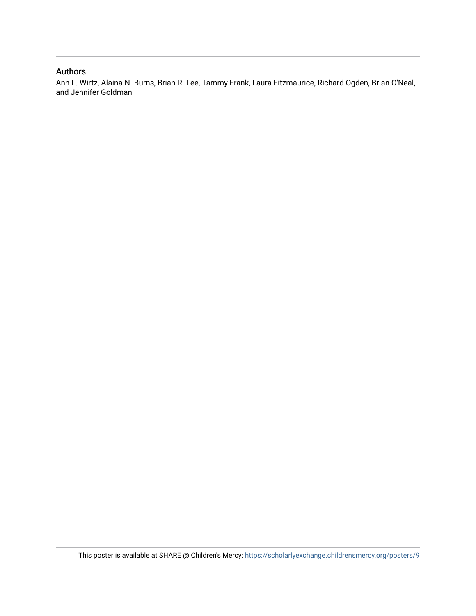# Authors

Ann L. Wirtz, Alaina N. Burns, Brian R. Lee, Tammy Frank, Laura Fitzmaurice, Richard Ogden, Brian O'Neal, and Jennifer Goldman